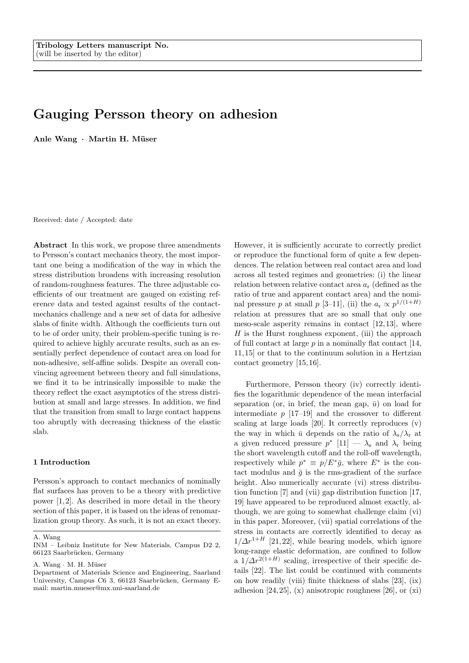# Gauging Persson theory on adhesion

Anle Wang · Martin H. Müser

Received: date / Accepted: date

Abstract In this work, we propose three amendments to Persson's contact mechanics theory, the most important one being a modification of the way in which the stress distribution broadens with increasing resolution of random-roughness features. The three adjustable coefficients of our treatment are gauged on existing reference data and tested against results of the contactmechanics challenge and a new set of data for adhesive slabs of finite width. Although the coefficients turn out to be of order unity, their problem-specific tuning is required to achieve highly accurate results, such as an essentially perfect dependence of contact area on load for non-adhesive, self-affine solids. Despite an overall convincing agreement between theory and full simulations, we find it to be intrinsically impossible to make the theory reflect the exact asymptotics of the stress distribution at small and large stresses. In addition, we find that the transition from small to large contact happens too abruptly with decreasing thickness of the elastic slab.

## 1 Introduction

Persson's approach to contact mechanics of nominally flat surfaces has proven to be a theory with predictive power  $[1, 2]$ . As described in more detail in the theory section of this paper, it is based on the ideas of renomarlization group theory. As such, it is not an exact theory.

However, it is sufficiently accurate to correctly predict or reproduce the functional form of quite a few dependences. The relation between real contact area and load across all tested regimes and geometries: (i) the linear relation between relative contact area  $a_r$  (defined as the ratio of true and apparent contact area) and the nominal pressure p at small p [3–11], (ii) the  $a_r \propto p^{1/(1+H)}$ relation at pressures that are so small that only one meso-scale asperity remains in contact [12, 13], where  $H$  is the Hurst roughness exponent, (iii) the approach of full contact at large  $p$  in a nominally flat contact [14, 11, 15] or that to the continuum solution in a Hertzian contact geometry [15, 16].

Furthermore, Persson theory (iv) correctly identifies the logarithmic dependence of the mean interfacial separation (or, in brief, the mean gap,  $\bar{u}$ ) on load for intermediate  $p$  [17–19] and the crossover to different scaling at large loads [20]. It correctly reproduces (v) the way in which  $\bar{u}$  depends on the ratio of  $\lambda_{\rm s}/\lambda_{\rm r}$  at a given reduced pressure  $p^*$  [11]  $- \lambda_s$  and  $\lambda_r$  being the short wavelength cutoff and the roll-off wavelength, respectively while  $p^* \equiv p/E^*\bar{g}$ , where  $E^*$  is the contact modulus and  $\bar{q}$  is the rms-gradient of the surface height. Also numerically accurate (vi) stress distribution function [7] and (vii) gap distribution function [17, 19] have appeared to be reproduced almost exactly, although, we are going to somewhat challenge claim (vi) in this paper. Moreover, (vii) spatial correlations of the stress in contacts are correctly identified to decay as  $1/\Delta r^{1+H}$  [21,22], while bearing models, which ignore long-range elastic deformation, are confined to follow a  $1/\Delta r^{2(1+H)}$  scaling, irrespective of their specific details [22]. The list could be continued with comments on how readily (viii) finite thickness of slabs [23], (ix) adhesion  $[24, 25]$ ,  $(x)$  anisotropic roughness  $[26]$ , or  $(xi)$ 

A. Wang

INM – Leibniz Institute for New Materials, Campus D2 2, 66123 Saarbrücken, Germany

A. Wang · M. H. Müser

Department of Materials Science and Engineering, Saarland University, Campus C6 3, 66123 Saarbrücken, Germany Email: martin.mueser@mx.uni-saarland.de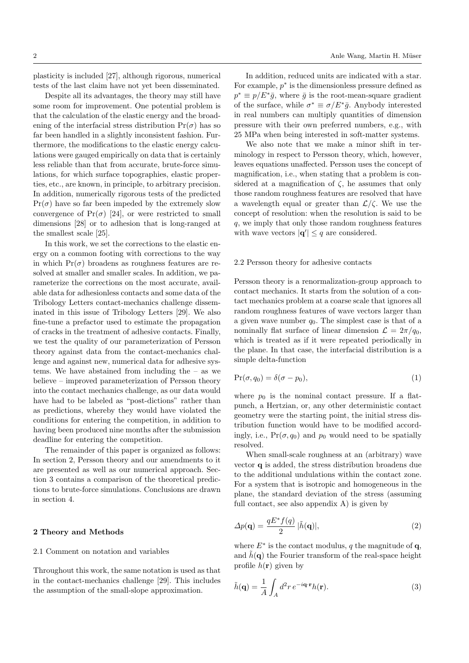plasticity is included [27], although rigorous, numerical tests of the last claim have not yet been disseminated.

Despite all its advantages, the theory may still have some room for improvement. One potential problem is that the calculation of the elastic energy and the broadening of the interfacial stress distribution  $Pr(\sigma)$  has so far been handled in a slightly inconsistent fashion. Furthermore, the modifications to the elastic energy calculations were gauged empirically on data that is certainly less reliable than that from accurate, brute-force simulations, for which surface topographies, elastic properties, etc., are known, in principle, to arbitrary precision. In addition, numerically rigorous tests of the predicted  $Pr(\sigma)$  have so far been impeded by the extremely slow convergence of  $Pr(\sigma)$  [24], or were restricted to small dimensions [28] or to adhesion that is long-ranged at the smallest scale [25].

In this work, we set the corrections to the elastic energy on a common footing with corrections to the way in which  $Pr(\sigma)$  broadens as roughness features are resolved at smaller and smaller scales. In addition, we parameterize the corrections on the most accurate, available data for adhesionless contacts and some data of the Tribology Letters contact-mechanics challenge disseminated in this issue of Tribology Letters [29]. We also fine-tune a prefactor used to estimate the propagation of cracks in the treatment of adhesive contacts. Finally, we test the quality of our parameterization of Persson theory against data from the contact-mechanics challenge and against new, numerical data for adhesive systems. We have abstained from including the – as we believe – improved parameterization of Persson theory into the contact mechanics challenge, as our data would have had to be labeled as "post-dictions" rather than as predictions, whereby they would have violated the conditions for entering the competition, in addition to having been produced nine months after the submission deadline for entering the competition.

The remainder of this paper is organized as follows: In section 2, Persson theory and our amendments to it are presented as well as our numerical approach. Section 3 contains a comparison of the theoretical predictions to brute-force simulations. Conclusions are drawn in section 4.

## 2 Theory and Methods

## 2.1 Comment on notation and variables

Throughout this work, the same notation is used as that in the contact-mechanics challenge [29]. This includes the assumption of the small-slope approximation.

In addition, reduced units are indicated with a star. For example,  $p^*$  is the dimensionless pressure defined as  $p^* \equiv p/E^* \bar{g}$ , where  $\bar{g}$  is the root-mean-square gradient of the surface, while  $\sigma^* \equiv \sigma/E^* \bar{g}$ . Anybody interested in real numbers can multiply quantities of dimension pressure with their own preferred numbers, e.g., with 25 MPa when being interested in soft-matter systems.

We also note that we make a minor shift in terminology in respect to Persson theory, which, however, leaves equations unaffected. Persson uses the concept of magnification, i.e., when stating that a problem is considered at a magnification of  $\zeta$ , he assumes that only those random roughness features are resolved that have a wavelength equal or greater than  $\mathcal{L}/\zeta$ . We use the concept of resolution: when the resolution is said to be q, we imply that only those random roughness features with wave vectors  $|\mathbf{q}'| \leq q$  are considered.

## 2.2 Persson theory for adhesive contacts

Persson theory is a renormalization-group approach to contact mechanics. It starts from the solution of a contact mechanics problem at a coarse scale that ignores all random roughness features of wave vectors larger than a given wave number  $q_0$ . The simplest case is that of a nominally flat surface of linear dimension  $\mathcal{L} = 2\pi/q_0$ , which is treated as if it were repeated periodically in the plane. In that case, the interfacial distribution is a simple delta-function

$$
Pr(\sigma, q_0) = \delta(\sigma - p_0),\tag{1}
$$

where  $p_0$  is the nominal contact pressure. If a flatpunch, a Hertzian, or, any other deterministic contact geometry were the starting point, the initial stress distribution function would have to be modified accordingly, i.e.,  $Pr(\sigma, q_0)$  and  $p_0$  would need to be spatially resolved.

When small-scale roughness at an (arbitrary) wave vector q is added, the stress distribution broadens due to the additional undulations within the contact zone. For a system that is isotropic and homogeneous in the plane, the standard deviation of the stress (assuming full contact, see also appendix A) is given by

$$
\Delta p(\mathbf{q}) = \frac{qE^* f(q)}{2} |\tilde{h}(\mathbf{q})|,\tag{2}
$$

where  $E^*$  is the contact modulus, q the magnitude of  $\mathbf{q}$ , and  $\tilde{h}(\mathbf{q})$  the Fourier transform of the real-space height profile  $h(\mathbf{r})$  given by

$$
\tilde{h}(\mathbf{q}) = \frac{1}{A} \int_{A} d^{2}r \, e^{-i\mathbf{q} \cdot \mathbf{r}} h(\mathbf{r}). \tag{3}
$$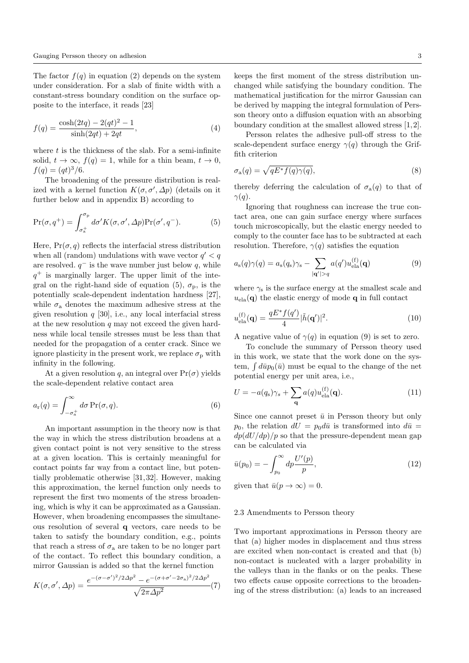The factor  $f(q)$  in equation (2) depends on the system under consideration. For a slab of finite width with a constant-stress boundary condition on the surface opposite to the interface, it reads [23]

$$
f(q) = \frac{\cosh(2tq) - 2(qt)^2 - 1}{\sinh(2qt) + 2qt},
$$
\n(4)

where  $t$  is the thickness of the slab. For a semi-infinite solid,  $t \to \infty$ ,  $f(q) = 1$ , while for a thin beam,  $t \to 0$ ,  $f(q) = (qt)^3/6.$ 

The broadening of the pressure distribution is realized with a kernel function  $K(\sigma, \sigma', \Delta p)$  (details on it further below and in appendix B) according to

$$
\Pr(\sigma, q^+) = \int_{\sigma_n^+}^{\sigma_p} d\sigma' K(\sigma, \sigma', \Delta p) \Pr(\sigma', q^-). \tag{5}
$$

Here,  $Pr(\sigma, q)$  reflects the interfacial stress distribution when all (random) undulations with wave vector  $q' < q$ are resolved.  $q^-$  is the wave number just below q, while  $q^+$  is marginally larger. The upper limit of the integral on the right-hand side of equation (5),  $\sigma_{\rm p}$ , is the potentially scale-dependent indentation hardness [27], while  $\sigma_a$  denotes the maximum adhesive stress at the given resolution  $q$  [30], i.e., any local interfacial stress at the new resolution  $q$  may not exceed the given hardness while local tensile stresses must be less than that needed for the propagation of a center crack. Since we ignore plasticity in the present work, we replace  $\sigma_{\rm p}$  with infinity in the following.

At a given resolution q, an integral over  $Pr(\sigma)$  yields the scale-dependent relative contact area

$$
a_{\mathbf{r}}(q) = \int_{-\sigma_{\mathbf{a}}^{+}}^{\infty} d\sigma \operatorname{Pr}(\sigma, q). \tag{6}
$$

An important assumption in the theory now is that the way in which the stress distribution broadens at a given contact point is not very sensitive to the stress at a given location. This is certainly meaningful for contact points far way from a contact line, but potentially problematic otherwise [31, 32]. However, making this approximation, the kernel function only needs to represent the first two moments of the stress broadening, which is why it can be approximated as a Gaussian. However, when broadening encompasses the simultaneous resolution of several q vectors, care needs to be taken to satisfy the boundary condition, e.g., points that reach a stress of  $\sigma_a$  are taken to be no longer part of the contact. To reflect this boundary condition, a mirror Gaussian is added so that the kernel function

$$
K(\sigma, \sigma', \Delta p) = \frac{e^{-(\sigma - \sigma')^2/2\Delta p^2} - e^{-(\sigma + \sigma' - 2\sigma_a)^2/2\Delta p^2}}{\sqrt{2\pi \Delta p^2}}(7)
$$

keeps the first moment of the stress distribution unchanged while satisfying the boundary condition. The mathematical justification for the mirror Gaussian can be derived by mapping the integral formulation of Persson theory onto a diffusion equation with an absorbing boundary condition at the smallest allowed stress [1, 2].

Persson relates the adhesive pull-off stress to the scale-dependent surface energy  $\gamma(q)$  through the Griffith criterion

$$
\sigma_{\mathbf{a}}(q) = \sqrt{qE^* f(q)\gamma(q)},\tag{8}
$$

thereby deferring the calculation of  $\sigma_a(q)$  to that of  $\gamma(q)$ .

Ignoring that roughness can increase the true contact area, one can gain surface energy where surfaces touch microscopically, but the elastic energy needed to comply to the counter face has to be subtracted at each resolution. Therefore,  $\gamma(q)$  satisfies the equation

$$
a_{s}(q)\gamma(q) = a_{s}(q_{s})\gamma_{s} - \sum_{|\mathbf{q}'|>q} a(q')u_{\text{ela}}^{(\text{f})}(\mathbf{q})
$$
(9)

where  $\gamma_s$  is the surface energy at the smallest scale and  $u_{\text{ela}}(q)$  the elastic energy of mode q in full contact

$$
u_{\text{ela}}^{(\text{f})}(\mathbf{q}) = \frac{qE^* f(q')}{4} |\tilde{h}(\mathbf{q}')|^2.
$$
 (10)

A negative value of  $\gamma(q)$  in equation (9) is set to zero.

To conclude the summary of Persson theory used in this work, we state that the work done on the system,  $\int d\bar{u} p_0(\bar{u})$  must be equal to the change of the net potential energy per unit area, i.e.,

$$
U = -a(q_s)\gamma_s + \sum_{\mathbf{q}} a(q)u_{\text{ela}}^{(\mathbf{f})}(\mathbf{q}).\tag{11}
$$

Since one cannot preset  $\bar{u}$  in Persson theory but only  $p_0$ , the relation  $dU = p_0 d\bar{u}$  is transformed into  $d\bar{u} =$  $dp(dU/dp)/p$  so that the pressure-dependent mean gap can be calculated via

$$
\bar{u}(p_0) = -\int_{p_0}^{\infty} dp \frac{U'(p)}{p},\tag{12}
$$

given that  $\bar{u}(p \to \infty) = 0$ .

## 2.3 Amendments to Persson theory

Two important approximations in Persson theory are that (a) higher modes in displacement and thus stress are excited when non-contact is created and that (b) non-contact is nucleated with a larger probability in the valleys than in the flanks or on the peaks. These two effects cause opposite corrections to the broadening of the stress distribution: (a) leads to an increased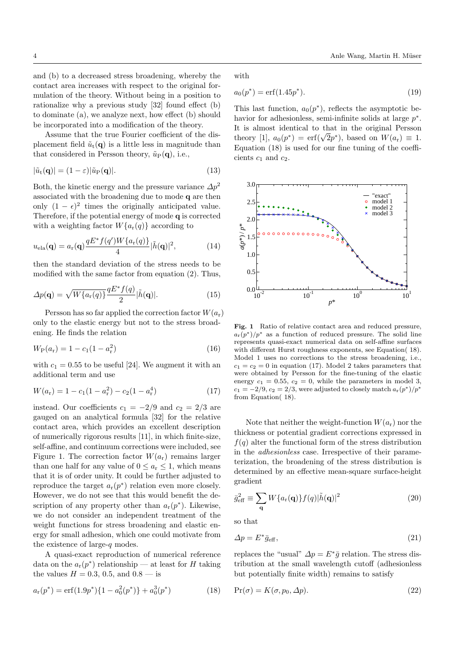and (b) to a decreased stress broadening, whereby the contact area increases with respect to the original formulation of the theory. Without being in a position to rationalize why a previous study [32] found effect (b) to dominate (a), we analyze next, how effect (b) should be incorporated into a modification of the theory.

Assume that the true Fourier coefficient of the displacement field  $\tilde{u}_t(\mathbf{q})$  is a little less in magnitude than that considered in Persson theory,  $\tilde{u}_P(q)$ , i.e.,

$$
|\tilde{u}_{t}(\mathbf{q})| = (1 - \varepsilon)|\tilde{u}_{P}(\mathbf{q})|.
$$
\n(13)

Both, the kinetic energy and the pressure variance  $\Delta p^2$ associated with the broadening due to mode q are then only  $(1 - \epsilon)^2$  times the originally anticipated value. Therefore, if the potential energy of mode q is corrected with a weighting factor  $W\{a_r(q)\}\$ according to

$$
u_{\text{ela}}(\mathbf{q}) = a_{\text{r}}(\mathbf{q}) \frac{q E^* f(q') W\{a_{\text{r}}(q)\}}{4} |\tilde{h}(\mathbf{q})|^2, \tag{14}
$$

then the standard deviation of the stress needs to be modified with the same factor from equation (2). Thus,

$$
\Delta p(\mathbf{q}) = \sqrt{W\{a_r(q)\}} \frac{qE^* f(q)}{2} |\tilde{h}(\mathbf{q})|.
$$
 (15)

Persson has so far applied the correction factor  $W(a_r)$ only to the elastic energy but not to the stress broadening. He finds the relation

$$
W_{\rm P}(a_{\rm r}) = 1 - c_1(1 - a_{\rm r}^2) \tag{16}
$$

with  $c_1 = 0.55$  to be useful [24]. We augment it with an additional term and use

$$
W(a_{\rm r}) = 1 - c_1(1 - a_{\rm r}^2) - c_2(1 - a_{\rm r}^4)
$$
\n(17)

instead. Our coefficients  $c_1 = -2/9$  and  $c_2 = 2/3$  are gauged on an analytical formula [32] for the relative contact area, which provides an excellent description of numerically rigorous results [11], in which finite-size, self-affine, and continuum corrections were included, see Figure 1. The correction factor  $W(a_r)$  remains larger than one half for any value of  $0 \le a_r \le 1$ , which means that it is of order unity. It could be further adjusted to reproduce the target  $a_r(p^*)$  relation even more closely. However, we do not see that this would benefit the description of any property other than  $a_r(p^*)$ . Likewise, we do not consider an independent treatment of the weight functions for stress broadening and elastic energy for small adhesion, which one could motivate from the existence of large-q modes.

A quasi-exact reproduction of numerical reference data on the  $a_r(p^*)$  relationship — at least for H taking the values  $H = 0.3, 0.5,$  and  $0.8 -$  is

$$
a_r(p^*) = erf(1.9p^*)\{1 - a_0^2(p^*)\} + a_0^3(p^*)
$$
\n(18)

with

$$
a_0(p^*) = \text{erf}(1.45p^*). \tag{19}
$$

This last function,  $a_0(p^*)$ , reflects the asymptotic behavior for adhesionless, semi-infinite solids at large  $p^*$ . It is almost identical to that in the original Persson It is almost identical to that in the original Persson<br>theory [1],  $a_0(p^*) = \text{erf}(\sqrt{2}p^*)$ , based on  $W(a_r) \equiv 1$ . Equation (18) is used for our fine tuning of the coefficients  $c_1$  and  $c_2$ .



Fig. 1 Ratio of relative contact area and reduced pressure,  $a_{\rm r}(p^*)/p^*$  as a function of reduced pressure. The solid line represents quasi-exact numerical data on self-affine surfaces with different Hurst roughness exponents, see Equation( 18). Model 1 uses no corrections to the stress broadening, i.e.,  $c_1 = c_2 = 0$  in equation (17). Model 2 takes parameters that were obtained by Persson for the fine-tuning of the elastic energy  $c_1 = 0.55$ ,  $c_2 = 0$ , while the parameters in model 3,  $c_1 = -2/9, c_2 = 2/3$ , were adjusted to closely match  $a_r(p^*)/p^*$ from Equation( 18).

Note that neither the weight-function  $W(a_r)$  nor the thickness or potential gradient corrections expressed in  $f(q)$  alter the functional form of the stress distribution in the adhesionless case. Irrespective of their parameterization, the broadening of the stress distribution is determined by an effective mean-square surface-height gradient

$$
\bar{g}_{\text{eff}}^2 \equiv \sum_{\mathbf{q}} W\{a_{\mathbf{r}}(\mathbf{q})\} f(q) |\tilde{h}(\mathbf{q})|^2 \tag{20}
$$

so that

$$
\Delta p = E^* \bar{g}_{\text{eff}},\tag{21}
$$

replaces the "usual"  $\Delta p = E^* \bar{g}$  relation. The stress distribution at the small wavelength cutoff (adhesionless but potentially finite width) remains to satisfy

$$
Pr(\sigma) = K(\sigma, p_0, \Delta p). \tag{22}
$$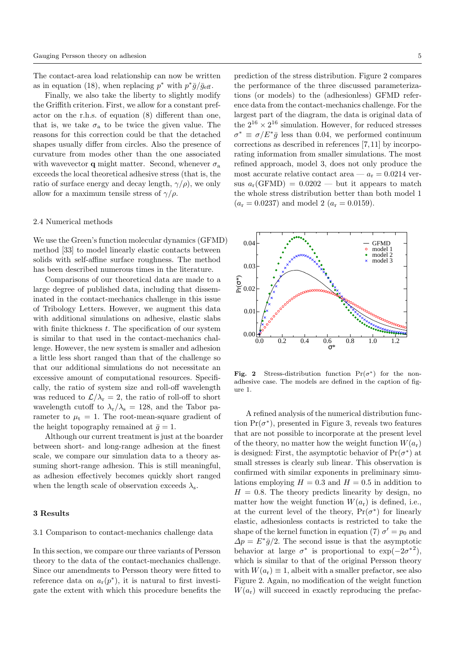The contact-area load relationship can now be written as in equation (18), when replacing  $p^*$  with  $p^*\bar{g}/\bar{g}_{\text{eff}}$ .

Finally, we also take the liberty to slightly modify the Griffith criterion. First, we allow for a constant prefactor on the r.h.s. of equation (8) different than one, that is, we take  $\sigma_a$  to be twice the given value. The reasons for this correction could be that the detached shapes usually differ from circles. Also the presence of curvature from modes other than the one associated with wavevector **q** might matter. Second, whenever  $\sigma_a$ exceeds the local theoretical adhesive stress (that is, the ratio of surface energy and decay length,  $\gamma/\rho$ , we only allow for a maximum tensile stress of  $\gamma/\rho$ .

## 2.4 Numerical methods

We use the Green's function molecular dynamics (GFMD) method [33] to model linearly elastic contacts between solids with self-affine surface roughness. The method has been described numerous times in the literature.

Comparisons of our theoretical data are made to a large degree of published data, including that disseminated in the contact-mechanics challenge in this issue of Tribology Letters. However, we augment this data with additional simulations on adhesive, elastic slabs with finite thickness  $t$ . The specification of our system is similar to that used in the contact-mechanics challenge. However, the new system is smaller and adhesion a little less short ranged than that of the challenge so that our additional simulations do not necessitate an excessive amount of computational resources. Specifically, the ratio of system size and roll-off wavelength was reduced to  $\mathcal{L}/\lambda_r = 2$ , the ratio of roll-off to short wavelength cutoff to  $\lambda_{\rm r}/\lambda_{\rm s} = 128$ , and the Tabor parameter to  $\mu_t = 1$ . The root-mean-square gradient of the height topography remained at  $\bar{q} = 1$ .

Although our current treatment is just at the boarder between short- and long-range adhesion at the finest scale, we compare our simulation data to a theory assuming short-range adhesion. This is still meaningful, as adhesion effectively becomes quickly short ranged when the length scale of observation exceeds  $\lambda_s$ .

## 3 Results

## 3.1 Comparison to contact-mechanics challenge data

In this section, we compare our three variants of Persson theory to the data of the contact-mechanics challenge. Since our amendments to Persson theory were fitted to reference data on  $a_r(p^*)$ , it is natural to first investigate the extent with which this procedure benefits the

prediction of the stress distribution. Figure 2 compares the performance of the three discussed parameterizations (or models) to the (adhesionless) GFMD reference data from the contact-mechanics challenge. For the largest part of the diagram, the data is original data of the  $2^{16} \times 2^{16}$  simulation. However, for reduced stresses  $\sigma^* \equiv \sigma/E^* \bar{g}$  less than 0.04, we performed continuum corrections as described in references [7, 11] by incorporating information from smaller simulations. The most refined approach, model 3, does not only produce the most accurate relative contact area  $-a_r = 0.0214$  versus  $a_r(\text{GFMD}) = 0.0202$  — but it appears to match the whole stress distribution better than both model 1  $(a_r = 0.0237)$  and model 2  $(a_r = 0.0159)$ .



Fig. 2 Stress-distribution function  $Pr(\sigma^*)$  for the nonadhesive case. The models are defined in the caption of figure 1.

A refined analysis of the numerical distribution function  $Pr(\sigma^*)$ , presented in Figure 3, reveals two features that are not possible to incorporate at the present level of the theory, no matter how the weight function  $W(a_r)$ is designed: First, the asymptotic behavior of  $Pr(\sigma^*)$  at small stresses is clearly sub linear. This observation is confirmed with similar exponents in preliminary simulations employing  $H = 0.3$  and  $H = 0.5$  in addition to  $H = 0.8$ . The theory predicts linearity by design, no matter how the weight function  $W(a<sub>r</sub>)$  is defined, i.e., at the current level of the theory,  $Pr(\sigma^*)$  for linearly elastic, adhesionless contacts is restricted to take the shape of the kernel function in equation (7)  $\sigma' = p_0$  and  $\Delta p = E^* \bar{g}/2$ . The second issue is that the asymptotic behavior at large  $\sigma^*$  is proportional to  $\exp(-2\sigma^{*2})$ , which is similar to that of the original Persson theory with  $W(a_r) \equiv 1$ , albeit with a smaller prefactor, see also Figure 2. Again, no modification of the weight function  $W(a_r)$  will succeed in exactly reproducing the prefac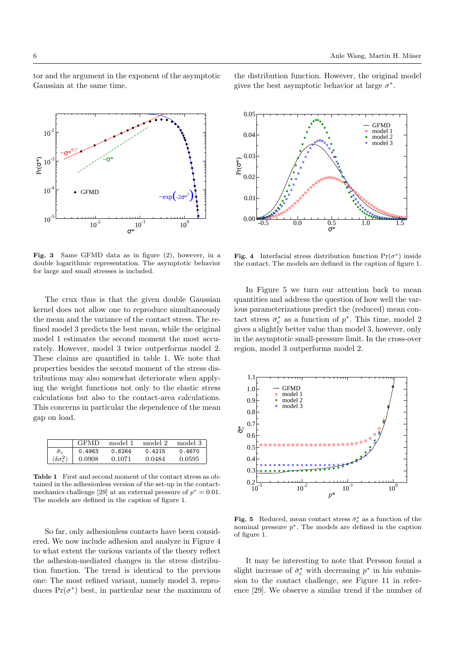tor and the argument in the exponent of the asymptotic Gaussian at the same time.



Fig. 3 Same GFMD data as in figure (2), however, in a double logarithmic representation. The asymptotic behavior for large and small stresses is included.

The crux thus is that the given double Gaussian kernel does not allow one to reproduce simultaneously the mean and the variance of the contact stress. The refined model 3 predicts the best mean, while the original model 1 estimates the second moment the most accurately. However, model 3 twice outperforms model 2. These claims are quantified in table 1. We note that properties besides the second moment of the stress distributions may also somewhat deteriorate when applying the weight functions not only to the elastic stress calculations but also to the contact-area calculations. This concerns in particular the dependence of the mean gap on load.

|                                            | GFMD   | model 1 | model 2 | model 3 |
|--------------------------------------------|--------|---------|---------|---------|
| $\sigma_{\rm c}$                           | 0.4963 | 0.6264  | 0.4215  | 0.4670  |
| $\langle \delta \sigma_{\sigma}^2 \rangle$ | 0.0908 | 0.1071  | 0.0484  | 0.0595  |

Table 1 First and second moment of the contact stress as obtained in the adhesionless version of the set-up in the contactmechanics challenge [29] at an external pressure of  $p^* = 0.01$ . The models are defined in the caption of figure 1.

So far, only adhesionless contacts have been considered. We now include adhesion and analyze in Figure 4 to what extent the various variants of the theory reflect the adhesion-mediated changes in the stress distribution function. The trend is identical to the previous one: The most refined variant, namely model 3, reproduces  $Pr(\sigma^*)$  best, in particular near the maximum of the distribution function. However, the original model gives the best asymptotic behavior at large  $\sigma^*$ .



**Fig. 4** Interfacial stress distribution function  $Pr(\sigma^*)$  inside the contact. The models are defined in the caption of figure 1.

In Figure 5 we turn our attention back to mean quantities and address the question of how well the various parameterizations predict the (reduced) mean contact stress  $\bar{\sigma}_{\rm c}^*$  as a function of  $p^*$ . This time, model 2 gives a slightly better value than model 3, however, only in the asymptotic small-pressure limit. In the cross-over region, model 3 outperforms model 2.



Fig. 5 Reduced, mean contact stress  $\bar{\sigma}_{\rm c}^*$  as a function of the nominal pressure  $p^*$ . The models are defined in the caption of figure 1.

It may be interesting to note that Persson found a slight increase of  $\bar{\sigma}_{\rm c}^*$  with decreasing  $p^*$  in his submission to the contact challenge, see Figure 11 in reference [29]. We observe a similar trend if the number of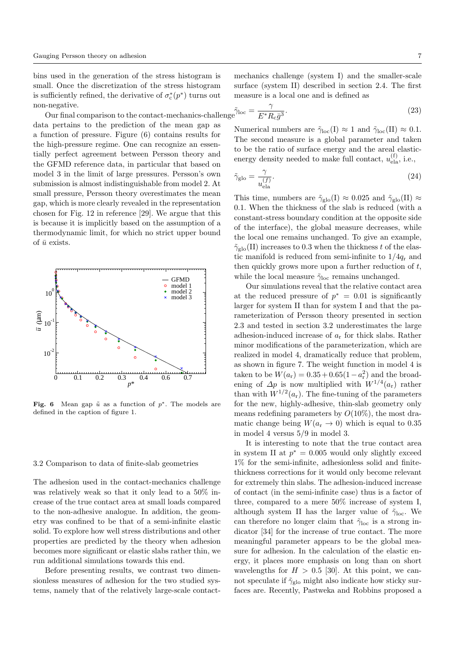bins used in the generation of the stress histogram is small. Once the discretization of the stress histogram is sufficiently refined, the derivative of  $\sigma_{\rm c}^*(p^*)$  turns out non-negative.

Our final comparison to the contact-mechanics-characters data pertains to the prediction of the mean gap as a function of pressure. Figure (6) contains results for the high-pressure regime. One can recognize an essentially perfect agreement between Persson theory and the GFMD reference data, in particular that based on model 3 in the limit of large pressures. Persson's own submission is almost indistinguishable from model 2. At small pressure, Persson theory overestimates the mean gap, which is more clearly revealed in the representation chosen for Fig. 12 in reference [29]. We argue that this is because it is implicitly based on the assumption of a thermodynamic limit, for which no strict upper bound of  $\bar{u}$  exists.



Fig. 6 Mean gap  $\tilde{u}$  as a function of  $p^*$ . The models are defined in the caption of figure 1.

#### 3.2 Comparison to data of finite-slab geometries

The adhesion used in the contact-mechanics challenge was relatively weak so that it only lead to a 50% increase of the true contact area at small loads compared to the non-adhesive analogue. In addition, the geometry was confined to be that of a semi-infinite elastic solid. To explore how well stress distributions and other properties are predicted by the theory when adhesion becomes more significant or elastic slabs rather thin, we run additional simulations towards this end.

Before presenting results, we contrast two dimensionless measures of adhesion for the two studied systems, namely that of the relatively large-scale contactmechanics challenge (system I) and the smaller-scale surface (system II) described in section 2.4. The first measure is a local one and is defined as

$$
\text{allenge}\tilde{\gamma}_{\text{loc}} = \frac{\gamma}{E^* R_{\text{c}} \bar{g}^3}.\tag{23}
$$

Numerical numbers are  $\tilde{\gamma}_{\text{loc}}(I) \approx 1$  and  $\tilde{\gamma}_{\text{loc}}(II) \approx 0.1$ . The second measure is a global parameter and taken to be the ratio of surface energy and the areal elasticenergy density needed to make full contact,  $u_{\text{ela}}^{(\text{f})}$ , i.e.,

$$
\tilde{\gamma}_{\text{glo}} = \frac{\gamma}{u_{\text{ela}}^{(f)}}.\tag{24}
$$

This time, numbers are  $\tilde{\gamma}_{\text{glo}}(I) \approx 0.025$  and  $\tilde{\gamma}_{\text{glo}}(II) \approx$ 0.1. When the thickness of the slab is reduced (with a constant-stress boundary condition at the opposite side of the interface), the global measure decreases, while the local one remains unchanged. To give an example,  $\tilde{\gamma}_{\text{glo}}(II)$  increases to 0.3 when the thickness t of the elastic manifold is reduced from semi-infinite to  $1/4q_r$  and then quickly grows more upon a further reduction of  $t$ , while the local measure  $\tilde{\gamma}_{\text{loc}}$  remains unchanged.

Our simulations reveal that the relative contact area at the reduced pressure of  $p^* = 0.01$  is significantly larger for system II than for system I and that the parameterization of Persson theory presented in section 2.3 and tested in section 3.2 underestimates the large adhesion-induced increase of  $a_r$  for thick slabs. Rather minor modifications of the parameterization, which are realized in model 4, dramatically reduce that problem, as shown in figure 7. The weight function in model 4 is taken to be  $W(a_r) = 0.35 + 0.65(1 - a_r^2)$  and the broadening of  $\Delta p$  is now multiplied with  $W^{1/4}(a_r)$  rather than with  $W^{1/2}(a_r)$ . The fine-tuning of the parameters for the new, highly-adhesive, thin-slab geometry only means redefining parameters by  $O(10\%)$ , the most dramatic change being  $W(a_r \to 0)$  which is equal to 0.35 in model 4 versus 5/9 in model 3.

It is interesting to note that the true contact area in system II at  $p^* = 0.005$  would only slightly exceed 1% for the semi-infinite, adhesionless solid and finitethickness corrections for it would only become relevant for extremely thin slabs. The adhesion-induced increase of contact (in the semi-infinite case) thus is a factor of three, compared to a mere 50% increase of system I, although system II has the larger value of  $\tilde{\gamma}_{\text{loc}}$ . We can therefore no longer claim that  $\tilde{\gamma}_{loc}$  is a strong indicator [34] for the increase of true contact. The more meaningful parameter appears to be the global measure for adhesion. In the calculation of the elastic energy, it places more emphasis on long than on short wavelengths for  $H > 0.5$  [30]. At this point, we cannot speculate if  $\tilde{\gamma}_{\text{glo}}$  might also indicate how sticky surfaces are. Recently, Pastweka and Robbins proposed a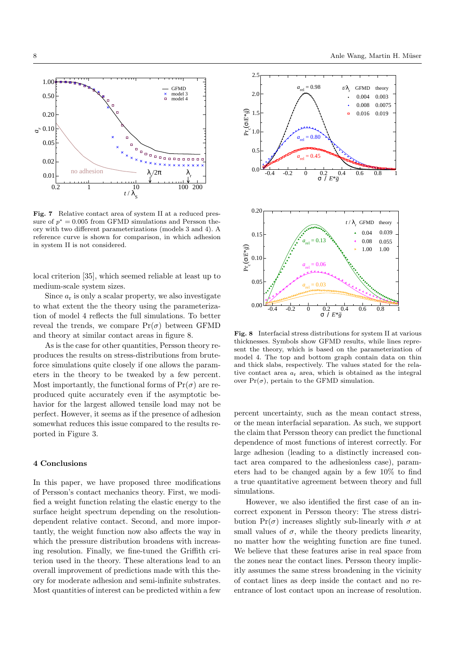0.10 *ar* 0.20

0.05

0.50 1.00



**GFMD** model 3 model 4

 $\frac{\mathsf{x}}{\mathsf{u}}$ 

reference curve is shown for comparison, in which adhesion in system II is not considered.

local criterion [35], which seemed reliable at least up to medium-scale system sizes.

Since  $a_r$  is only a scalar property, we also investigate to what extent the the theory using the parameterization of model 4 reflects the full simulations. To better reveal the trends, we compare  $Pr(\sigma)$  between GFMD and theory at similar contact areas in figure 8.

As is the case for other quantities, Persson theory reproduces the results on stress-distributions from bruteforce simulations quite closely if one allows the parameters in the theory to be tweaked by a few percent. Most importantly, the functional forms of  $Pr(\sigma)$  are reproduced quite accurately even if the asymptotic behavior for the largest allowed tensile load may not be perfect. However, it seems as if the presence of adhesion somewhat reduces this issue compared to the results reported in Figure 3.

### 4 Conclusions

In this paper, we have proposed three modifications of Persson's contact mechanics theory. First, we modified a weight function relating the elastic energy to the surface height spectrum depending on the resolutiondependent relative contact. Second, and more importantly, the weight function now also affects the way in which the pressure distribution broadens with increasing resolution. Finally, we fine-tuned the Griffith criterion used in the theory. These alterations lead to an overall improvement of predictions made with this theory for moderate adhesion and semi-infinite substrates. Most quantities of interest can be predicted within a few



Fig. 8 Interfacial stress distributions for system II at various thicknesses. Symbols show GFMD results, while lines represent the theory, which is based on the parameterization of model 4. The top and bottom graph contain data on thin and thick slabs, respectively. The values stated for the relative contact area  $a_r$  area, which is obtained as the integral over  $Pr(\sigma)$ , pertain to the GFMD simulation.

percent uncertainty, such as the mean contact stress, or the mean interfacial separation. As such, we support the claim that Persson theory can predict the functional dependence of most functions of interest correctly. For large adhesion (leading to a distinctly increased contact area compared to the adhesionless case), parameters had to be changed again by a few 10% to find a true quantitative agreement between theory and full simulations.

However, we also identified the first case of an incorrect exponent in Persson theory: The stress distribution  $Pr(\sigma)$  increases slightly sub-linearly with  $\sigma$  at small values of  $\sigma$ , while the theory predicts linearity, no matter how the weighting function are fine tuned. We believe that these features arise in real space from the zones near the contact lines. Persson theory implicitly assumes the same stress broadening in the vicinity of contact lines as deep inside the contact and no reentrance of lost contact upon an increase of resolution.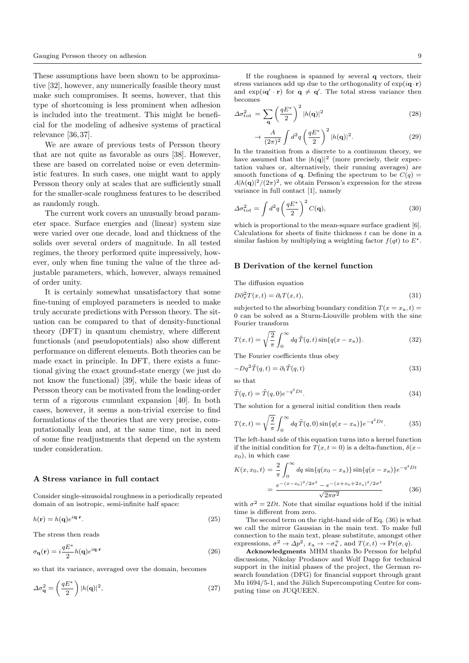These assumptions have been shown to be approximative [32], however, any numerically feasible theory must make such compromises. It seems, however, that this type of shortcoming is less prominent when adhesion is included into the treatment. This might be beneficial for the modeling of adhesive systems of practical relevance [36, 37].

We are aware of previous tests of Persson theory that are not quite as favorable as ours [38]. However, these are based on correlated noise or even deterministic features. In such cases, one might want to apply Persson theory only at scales that are sufficiently small for the smaller-scale roughness features to be described as randomly rough.

The current work covers an unusually broad parameter space. Surface energies and (linear) system size were varied over one decade, load and thickness of the solids over several orders of magnitude. In all tested regimes, the theory performed quite impressively, however, only when fine tuning the value of the three adjustable parameters, which, however, always remained of order unity.

It is certainly somewhat unsatisfactory that some fine-tuning of employed parameters is needed to make truly accurate predictions with Persson theory. The situation can be compared to that of density-functional theory (DFT) in quantum chemistry, where different functionals (and pseudopotentials) also show different performance on different elements. Both theories can be made exact in principle. In DFT, there exists a functional giving the exact ground-state energy (we just do not know the functional) [39], while the basic ideas of Persson theory can be motivated from the leading-order term of a rigorous cumulant expansion [40]. In both cases, however, it seems a non-trivial exercise to find formulations of the theories that are very precise, computationally lean and, at the same time, not in need of some fine readjustments that depend on the system under consideration.

#### A Stress variance in full contact

Consider single-sinusoidal roughness in a periodically repeated domain of an isotropic, semi-infinite half space:

$$
h(\mathbf{r}) = h(\mathbf{q})e^{i\mathbf{q}\cdot\mathbf{r}}.\tag{25}
$$

The stress then reads

$$
\sigma_{\mathbf{q}}(\mathbf{r}) = i \frac{q E^*}{2} h(\mathbf{q}) e^{i\mathbf{q} \cdot \mathbf{r}} \tag{26}
$$

so that its variance, averaged over the domain, becomes

$$
\Delta \sigma_{\mathbf{q}}^2 = \left(\frac{qE^*}{2}\right) |h(\mathbf{q})|^2,\tag{27}
$$

If the roughness is spanned by several q vectors, their stress variances add up due to the orthogonality of  $\exp(i\mathbf{q} \cdot \mathbf{r})$ and  $\exp(i\mathbf{q}'\cdot\mathbf{r})$  for  $\mathbf{q}\neq\mathbf{q}'$ . The total stress variance then becomes

$$
\Delta \sigma_{\rm tot}^2 = \sum_{\mathbf{q}} \left(\frac{qE^*}{2}\right)^2 |h(\mathbf{q})|^2 \tag{28}
$$

$$
\rightarrow \frac{A}{(2\pi)^2} \int d^2q \left(\frac{qE^*}{2}\right)^2 |h(\mathbf{q})|^2. \tag{29}
$$

In the transition from a discrete to a continuum theory, we have assumed that the  $|h(\mathbf{q})|^2$  (more precisely, their expectation values or, alternatively, their running averages) are smooth functions of **q**. Defining the spectrum to be  $C(q)$  =  $A|h(\mathbf{q})|^2/(2\pi)^2$ , we obtain Persson's expression for the stress variance in full contact [1], namely

$$
\Delta \sigma_{\rm tot}^2 = \int d^2 q \left(\frac{q E^*}{2}\right)^2 C(q),\tag{30}
$$

which is proportional to the mean-square surface gradient [6]. Calculations for sheets of finite thickness  $t$  can be done in a similar fashion by multiplying a weighting factor  $f(qt)$  to  $E^*$ .

## B Derivation of the kernel function

The diffusion equation

$$
\partial_x^2 T(x,t) = \partial_t T(x,t),\tag{31}
$$

subjected to the absorbing boundary condition  $T(x = x_a, t) =$ 0 can be solved as a Sturm-Liouville problem with the sine Fourier transform

$$
T(x,t) = \sqrt{\frac{2}{\pi}} \int_0^\infty dq \,\tilde{T}(q,t) \sin\{q(x-x_0)\}.
$$
 (32)

The Fourier coefficients thus obey

$$
-Dq^2\tilde{T}(q,t) = \partial_t \tilde{T}(q,t)
$$
\n(33)

so that

D∂<sup>2</sup>

$$
\tilde{T}(q,t) = \tilde{T}(q,0)e^{-q^2Dt}.
$$
\n(34)

The solution for a general initial condition then reads

$$
T(x,t) = \sqrt{\frac{2}{\pi}} \int_0^\infty dq \, \tilde{T}(q,0) \sin\{q(x-x_0)\} e^{-q^2 Dt}.\tag{35}
$$

The left-hand side of this equation turns into a kernel function if the initial condition for  $T(x, t = 0)$  is a delta-function,  $\delta(x$  $x_0$ ), in which case

$$
K(x, x_0, t) = \frac{2}{\pi} \int_0^\infty dq \sin\{q(x_0 - x_\mathbf{a})\} \sin\{q(x - x_\mathbf{a})\} e^{-q^2 Dt}
$$

$$
= \frac{e^{-(x - x_0)^2/2\sigma^2} - e^{-(x + x_0 + 2x_\mathbf{a})^2/2\sigma^2}}{\sqrt{2\pi\sigma^2}}
$$
(36)

with  $\sigma^2 = 2Dt$ . Note that similar equations hold if the initial time is different from zero.

The second term on the right-hand side of Eq. (36) is what we call the mirror Gaussian in the main text. To make full connection to the main text, please substitute, amongst other expressions,  $\sigma^2 \to \Delta p^2$ ,  $x_a \to -\sigma_a^+$ , and  $T(x,t) \to \Pr(\sigma, q)$ .

Acknowledgments MHM thanks Bo Persson for helpful discussions, Nikolay Prodanov and Wolf Dapp for technical support in the initial phases of the project, the German research foundation (DFG) for financial support through grant Mu 1694/5-1, and the Jülich Supercomputing Centre for computing time on JUQUEEN.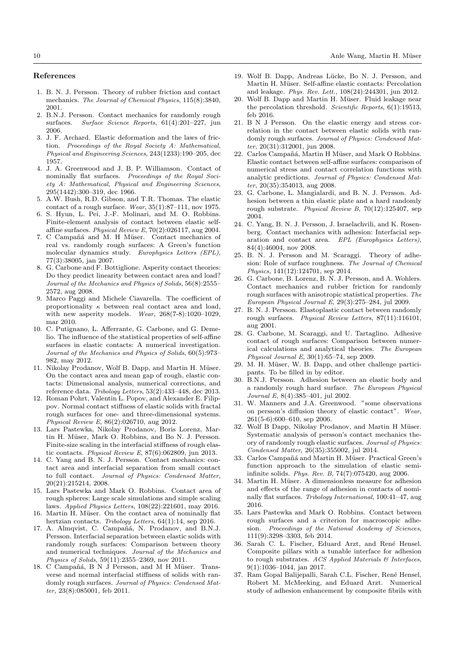## References

- 1. B. N. J. Persson. Theory of rubber friction and contact mechanics. The Journal of Chemical Physics, 115(8):3840, 2001.
- 2. B.N.J. Persson. Contact mechanics for randomly rough surfaces. Surface Science Reports, 61(4):201–227, jun 2006.
- 3. J. F. Archard. Elastic deformation and the laws of friction. Proceedings of the Royal Society A: Mathematical, Physical and Engineering Sciences, 243(1233):190–205, dec 1957.
- 4. J. A. Greenwood and J. B. P. Williamson. Contact of nominally flat surfaces. Proceedings of the Royal Society A: Mathematical, Physical and Engineering Sciences, 295(1442):300–319, dec 1966.
- 5. A.W. Bush, R.D. Gibson, and T.R. Thomas. The elastic contact of a rough surface. Wear,  $35(1):87-111$ , nov 1975.
- 6. S. Hyun, L. Pei, J.-F. Molinari, and M. O. Robbins. Finite-element analysis of contact between elastic selfaffine surfaces. Physical Review E, 70(2):026117, aug 2004.
- 7. C Campañá and M. H Müser. Contact mechanics of real vs. randomly rough surfaces: A Green's function molecular dynamics study. Europhysics Letters (EPL), 77(3):38005, jan 2007.
- 8. G. Carbone and F. Bottiglione. Asperity contact theories: Do they predict linearity between contact area and load? Journal of the Mechanics and Physics of Solids, 56(8):2555– 2572, aug 2008.
- 9. Marco Paggi and Michele Ciavarella. The coefficient of proportionality  $\kappa$  between real contact area and load, with new asperity models. Wear, 268(7-8):1020–1029, mar 2010.
- 10. C. Putignano, L. Afferrante, G. Carbone, and G. Demelio. The influence of the statistical properties of self-affine surfaces in elastic contacts: A numerical investigation. Journal of the Mechanics and Physics of Solids, 60(5):973– 982, may 2012.
- 11. Nikolay Prodanov, Wolf B. Dapp, and Martin H. Müser. On the contact area and mean gap of rough, elastic contacts: Dimensional analysis, numerical corrections, and reference data. Tribology Letters, 53(2):433–448, dec 2013.
- 12. Roman Pohrt, Valentin L. Popov, and Alexander E. Filippov. Normal contact stiffness of elastic solids with fractal rough surfaces for one- and three-dimensional systems. Physical Review E, 86(2):026710, aug 2012.
- 13. Lars Pastewka, Nikolay Prodanov, Boris Lorenz, Martin H. Müser, Mark O. Robbins, and Bo N. J. Persson. Finite-size scaling in the interfacial stiffness of rough elastic contacts. Physical Review E, 87(6):062809, jun 2013.
- 14. C. Yang and B. N. J. Persson. Contact mechanics: contact area and interfacial separation from small contact to full contact. Journal of Physics: Condensed Matter, 20(21):215214, 2008.
- 15. Lars Pastewka and Mark O. Robbins. Contact area of rough spheres: Large scale simulations and simple scaling laws. Applied Physics Letters, 108(22):221601, may 2016.
- 16. Martin H. Müser. On the contact area of nominally flat hertzian contacts. Tribology Letters, 64(1):14, sep 2016.
- 17. A. Almqvist, C. Campañá, N. Prodanov, and B.N.J. Persson. Interfacial separation between elastic solids with randomly rough surfaces: Comparison between theory and numerical techniques. Journal of the Mechanics and Physics of Solids, 59(11):2355–2369, nov 2011.
- 18. C Campañá, B N J Persson, and M H Müser. Transverse and normal interfacial stiffness of solids with randomly rough surfaces. Journal of Physics: Condensed Matter, 23(8):085001, feb 2011.
- 19. Wolf B. Dapp, Andreas Lücke, Bo N. J. Persson, and Martin H. Müser. Self-affine elastic contacts: Percolation and leakage. Phys. Rev. Lett., 108(24):244301, jun 2012.
- 20. Wolf B. Dapp and Martin H. Müser. Fluid leakage near the percolation threshold. Scientific Reports, 6(1):19513, feb 2016.
- 21. B N J Persson. On the elastic energy and stress correlation in the contact between elastic solids with randomly rough surfaces. Journal of Physics: Condensed Matter, 20(31):312001, jun 2008.
- 22. Carlos Campañá, Martin H Müser, and Mark O Robbins. Elastic contact between self-affine surfaces: comparison of numerical stress and contact correlation functions with analytic predictions. Journal of Physics: Condensed Matter, 20(35):354013, aug 2008.
- 23. G. Carbone, L. Mangialardi, and B. N. J. Persson. Adhesion between a thin elastic plate and a hard randomly rough substrate. Physical Review B, 70(12):125407, sep 2004.
- 24. C. Yang, B. N. J. Persson, J. Israelachvili, and K. Rosenberg. Contact mechanics with adhesion: Interfacial separation and contact area. EPL (Europhysics Letters), 84(4):46004, nov 2008.
- 25. B. N. J. Persson and M. Scaraggi. Theory of adhesion: Role of surface roughness. The Journal of Chemical Physics, 141(12):124701, sep 2014.
- 26. G. Carbone, B. Lorenz, B. N. J. Persson, and A. Wohlers. Contact mechanics and rubber friction for randomly rough surfaces with anisotropic statistical properties. The European Physical Journal E, 29(3):275–284, jul 2009.
- 27. B. N. J. Persson. Elastoplastic contact between randomly rough surfaces. Physical Review Letters, 87(11):116101, aug 2001.
- 28. G. Carbone, M. Scaraggi, and U. Tartaglino. Adhesive contact of rough surfaces: Comparison between numerical calculations and analytical theories. The European Physical Journal E, 30(1):65–74, sep 2009.
- 29. M. H. Müser, W. B. Dapp, and other challenge participants. To be filled in by editor.
- 30. B.N.J. Persson. Adhesion between an elastic body and a randomly rough hard surface. The European Physical Journal E, 8(4):385–401, jul 2002.
- 31. W. Manners and J.A. Greenwood. "some observations on persson's diffusion theory of elastic contact". Wear, 261(5-6):600–610, sep 2006.
- 32. Wolf B Dapp, Nikolay Prodanov, and Martin H Müser. Systematic analysis of persson's contact mechanics theory of randomly rough elastic surfaces. Journal of Physics: Condensed Matter, 26(35):355002, jul 2014.
- 33. Carlos Campañá and Martin H. Müser. Practical Green's function approach to the simulation of elastic semiinfinite solids. Phys. Rev. B, 74(7):075420, aug 2006.
- 34. Martin H. Müser. A dimensionless measure for adhesion and effects of the range of adhesion in contacts of nominally flat surfaces. Tribology International, 100:41–47, aug 2016.
- 35. Lars Pastewka and Mark O. Robbins. Contact between rough surfaces and a criterion for macroscopic adhesion. Proceedings of the National Academy of Sciences, 111(9):3298–3303, feb 2014.
- 36. Sarah C. L. Fischer, Eduard Arzt, and René Hensel. Composite pillars with a tunable interface for adhesion to rough substrates. ACS Applied Materials & Interfaces, 9(1):1036–1044, jan 2017.
- 37. Ram Gopal Balijepalli, Sarah C.L. Fischer, René Hensel, Robert M. McMeeking, and Eduard Arzt. Numerical study of adhesion enhancement by composite fibrils with